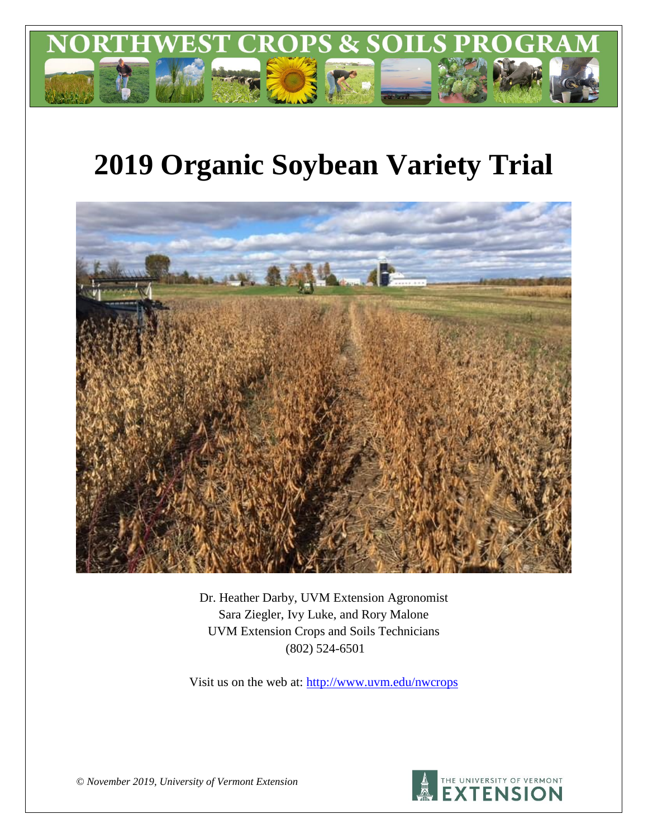

# **2019 Organic Soybean Variety Trial**



Dr. Heather Darby, UVM Extension Agronomist Sara Ziegler, Ivy Luke, and Rory Malone UVM Extension Crops and Soils Technicians (802) 524-6501

Visit us on the web at: <http://www.uvm.edu/nwcrops>



*© November 2019, University of Vermont Extension*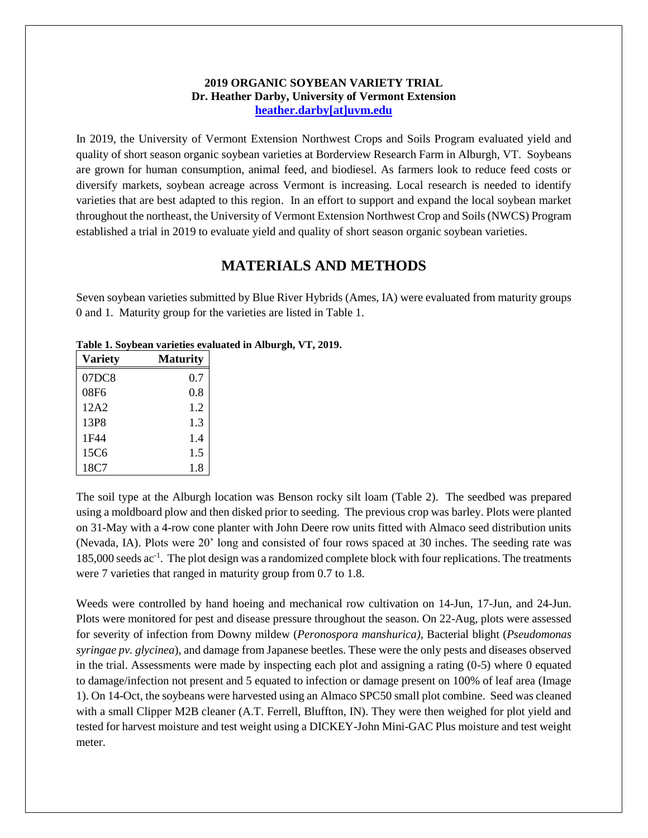### **2019 ORGANIC SOYBEAN VARIETY TRIAL Dr. Heather Darby, University of Vermont Extension [heather.darby\[at\]uvm.edu](mailto:heather.darby@uvm.edu?subject=2012%20Short%20Season%20Corn%20Report)**

In 2019, the University of Vermont Extension Northwest Crops and Soils Program evaluated yield and quality of short season organic soybean varieties at Borderview Research Farm in Alburgh, VT. Soybeans are grown for human consumption, animal feed, and biodiesel. As farmers look to reduce feed costs or diversify markets, soybean acreage across Vermont is increasing. Local research is needed to identify varieties that are best adapted to this region. In an effort to support and expand the local soybean market throughout the northeast, the University of Vermont Extension Northwest Crop and Soils (NWCS) Program established a trial in 2019 to evaluate yield and quality of short season organic soybean varieties.

## **MATERIALS AND METHODS**

Seven soybean varieties submitted by Blue River Hybrids (Ames, IA) were evaluated from maturity groups 0 and 1. Maturity group for the varieties are listed in Table 1.

| <b>Variety</b> | <b>Maturity</b> |
|----------------|-----------------|
| 07DC8          | 0.7             |
| 08F6           | 0.8             |
| 12A2           | 1.2             |
| 13P8           | 1.3             |
| 1F44           | 1.4             |
| 15C6           | 1.5             |
| 18C7           | 1.8             |

**Table 1. Soybean varieties evaluated in Alburgh, VT, 2019.**

The soil type at the Alburgh location was Benson rocky silt loam (Table 2). The seedbed was prepared using a moldboard plow and then disked prior to seeding. The previous crop was barley. Plots were planted on 31-May with a 4-row cone planter with John Deere row units fitted with Almaco seed distribution units (Nevada, IA). Plots were 20' long and consisted of four rows spaced at 30 inches. The seeding rate was 185,000 seeds ac<sup>-1</sup>. The plot design was a randomized complete block with four replications. The treatments were 7 varieties that ranged in maturity group from 0.7 to 1.8.

Weeds were controlled by hand hoeing and mechanical row cultivation on 14-Jun, 17-Jun, and 24-Jun. Plots were monitored for pest and disease pressure throughout the season. On 22-Aug, plots were assessed for severity of infection from Downy mildew (*Peronospora manshurica),* Bacterial blight (*Pseudomonas syringae pv. glycinea*), and damage from Japanese beetles. These were the only pests and diseases observed in the trial. Assessments were made by inspecting each plot and assigning a rating (0-5) where 0 equated to damage/infection not present and 5 equated to infection or damage present on 100% of leaf area (Image 1). On 14-Oct, the soybeans were harvested using an Almaco SPC50 small plot combine. Seed was cleaned with a small Clipper M2B cleaner (A.T. Ferrell, Bluffton, IN). They were then weighed for plot yield and tested for harvest moisture and test weight using a DICKEY-John Mini-GAC Plus moisture and test weight meter.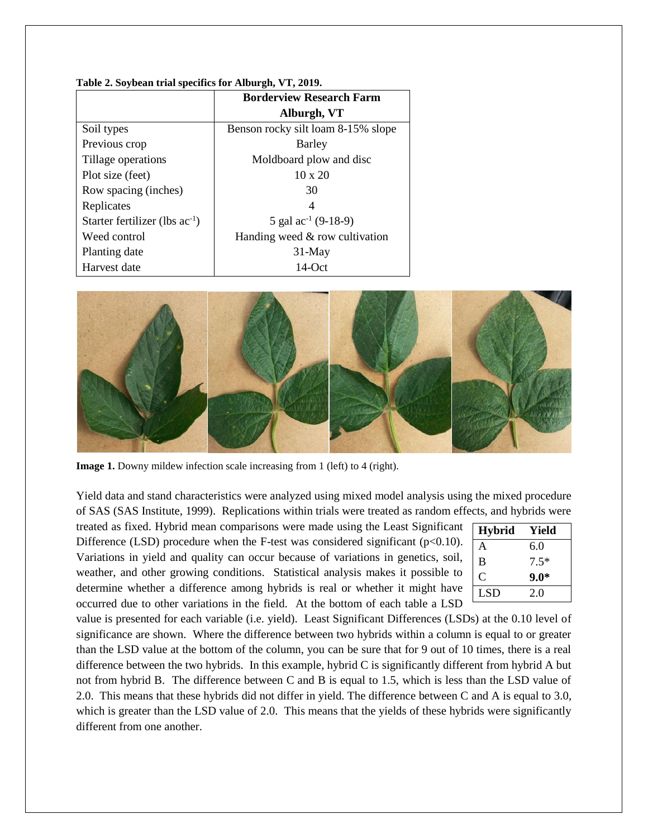|                                     | <b>Borderview Research Farm</b>    |
|-------------------------------------|------------------------------------|
|                                     | Alburgh, VT                        |
| Soil types                          | Benson rocky silt loam 8-15% slope |
| Previous crop                       | Barley                             |
| Tillage operations                  | Moldboard plow and disc            |
| Plot size (feet)                    | $10 \times 20$                     |
| Row spacing (inches)                | 30                                 |
| Replicates                          | 4                                  |
| Starter fertilizer (lbs $ac^{-1}$ ) | 5 gal $ac^{-1}$ (9-18-9)           |
| Weed control                        | Handing weed $&$ row cultivation   |
| Planting date                       | $31$ -May                          |
| Harvest date                        | $14$ -Oct                          |

#### **Table 2. Soybean trial specifics for Alburgh, VT, 2019.**



**Image 1.** Downy mildew infection scale increasing from 1 (left) to 4 (right).

Yield data and stand characteristics were analyzed using mixed model analysis using the mixed procedure of SAS (SAS Institute, 1999). Replications within trials were treated as random effects, and hybrids were

treated as fixed. Hybrid mean comparisons were made using the Least Significant Difference (LSD) procedure when the F-test was considered significant ( $p<0.10$ ). Variations in yield and quality can occur because of variations in genetics, soil, weather, and other growing conditions. Statistical analysis makes it possible to determine whether a difference among hybrids is real or whether it might have occurred due to other variations in the field. At the bottom of each table a LSD

| <b>Hybrid</b> | Yield  |
|---------------|--------|
| А             | 6.0    |
| B             | $7.5*$ |
| C             | $9.0*$ |
| LSD           | 2.0    |

value is presented for each variable (i.e. yield). Least Significant Differences (LSDs) at the 0.10 level of significance are shown. Where the difference between two hybrids within a column is equal to or greater than the LSD value at the bottom of the column, you can be sure that for 9 out of 10 times, there is a real difference between the two hybrids. In this example, hybrid C is significantly different from hybrid A but not from hybrid B. The difference between C and B is equal to 1.5, which is less than the LSD value of 2.0. This means that these hybrids did not differ in yield. The difference between C and A is equal to 3.0, which is greater than the LSD value of 2.0. This means that the yields of these hybrids were significantly different from one another.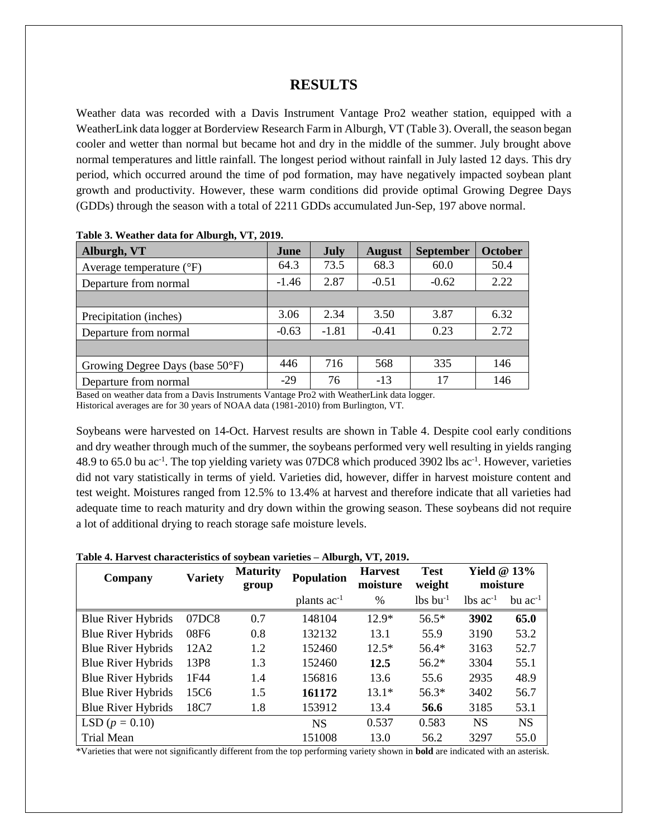## **RESULTS**

Weather data was recorded with a Davis Instrument Vantage Pro2 weather station, equipped with a WeatherLink data logger at Borderview Research Farm in Alburgh, VT (Table 3). Overall, the season began cooler and wetter than normal but became hot and dry in the middle of the summer. July brought above normal temperatures and little rainfall. The longest period without rainfall in July lasted 12 days. This dry period, which occurred around the time of pod formation, may have negatively impacted soybean plant growth and productivity. However, these warm conditions did provide optimal Growing Degree Days (GDDs) through the season with a total of 2211 GDDs accumulated Jun-Sep, 197 above normal.

| Alburgh, VT                               | June    | July    | <b>August</b> | <b>September</b> | <b>October</b> |  |  |  |  |
|-------------------------------------------|---------|---------|---------------|------------------|----------------|--|--|--|--|
| Average temperature $({}^{\circ}F)$       | 64.3    | 73.5    | 68.3          | 60.0             | 50.4           |  |  |  |  |
| Departure from normal                     | $-1.46$ | 2.87    | $-0.51$       | $-0.62$          | 2.22           |  |  |  |  |
|                                           |         |         |               |                  |                |  |  |  |  |
| Precipitation (inches)                    | 3.06    | 2.34    | 3.50          | 3.87             | 6.32           |  |  |  |  |
| Departure from normal                     | $-0.63$ | $-1.81$ | $-0.41$       | 0.23             | 2.72           |  |  |  |  |
|                                           |         |         |               |                  |                |  |  |  |  |
| Growing Degree Days (base $50^{\circ}$ F) | 446     | 716     | 568           | 335              | 146            |  |  |  |  |
| Departure from normal                     | $-29$   | 76      | $-13$         | 17               | 146            |  |  |  |  |

| Table 3. Weather data for Alburgh, VT, 2019. |  |  |  |
|----------------------------------------------|--|--|--|
|                                              |  |  |  |

Based on weather data from a Davis Instruments Vantage Pro2 with WeatherLink data logger. Historical averages are for 30 years of NOAA data (1981-2010) from Burlington, VT.

Soybeans were harvested on 14-Oct. Harvest results are shown in Table 4. Despite cool early conditions and dry weather through much of the summer, the soybeans performed very well resulting in yields ranging 48.9 to 65.0 bu ac<sup>-1</sup>. The top yielding variety was 07DC8 which produced 3902 lbs ac<sup>-1</sup>. However, varieties did not vary statistically in terms of yield. Varieties did, however, differ in harvest moisture content and test weight. Moistures ranged from 12.5% to 13.4% at harvest and therefore indicate that all varieties had adequate time to reach maturity and dry down within the growing season. These soybeans did not require a lot of additional drying to reach storage safe moisture levels.

| Table 4. Harvest characteristics of soybean varieties - Alburgh, VT, 2019. |  |  |  |  |  |
|----------------------------------------------------------------------------|--|--|--|--|--|
|----------------------------------------------------------------------------|--|--|--|--|--|

| Company                   | <b>Variety</b> | <b>Maturity</b><br>group | <b>Population</b> | <b>Harvest</b><br>moisture | <b>Test</b><br>weight  | Yield $@13\%$<br>moisture |                |
|---------------------------|----------------|--------------------------|-------------------|----------------------------|------------------------|---------------------------|----------------|
|                           |                |                          | plants $ac^{-1}$  | $\%$                       | $lbs$ bu <sup>-1</sup> | $lbs$ ac <sup>-1</sup>    | $bu$ $ac^{-1}$ |
| <b>Blue River Hybrids</b> | 07DC8          | 0.7                      | 148104            | $12.9*$                    | $56.5*$                | 3902                      | 65.0           |
| <b>Blue River Hybrids</b> | 08F6           | 0.8                      | 132132            | 13.1                       | 55.9                   | 3190                      | 53.2           |
| <b>Blue River Hybrids</b> | 12A2           | 1.2                      | 152460            | $12.5*$                    | $56.4*$                | 3163                      | 52.7           |
| <b>Blue River Hybrids</b> | 13P8           | 1.3                      | 152460            | 12.5                       | $56.2*$                | 3304                      | 55.1           |
| <b>Blue River Hybrids</b> | 1F44           | 1.4                      | 156816            | 13.6                       | 55.6                   | 2935                      | 48.9           |
| <b>Blue River Hybrids</b> | 15C6           | 1.5                      | 161172            | $13.1*$                    | $56.3*$                | 3402                      | 56.7           |
| <b>Blue River Hybrids</b> | 18C7           | 1.8                      | 153912            | 13.4                       | 56.6                   | 3185                      | 53.1           |
| LSD $(p = 0.10)$          |                |                          | <b>NS</b>         | 0.537                      | 0.583                  | <b>NS</b>                 | <b>NS</b>      |
| <b>Trial Mean</b>         |                |                          | 151008            | 13.0                       | 56.2                   | 3297                      | 55.0           |

\*Varieties that were not significantly different from the top performing variety shown in **bold** are indicated with an asterisk.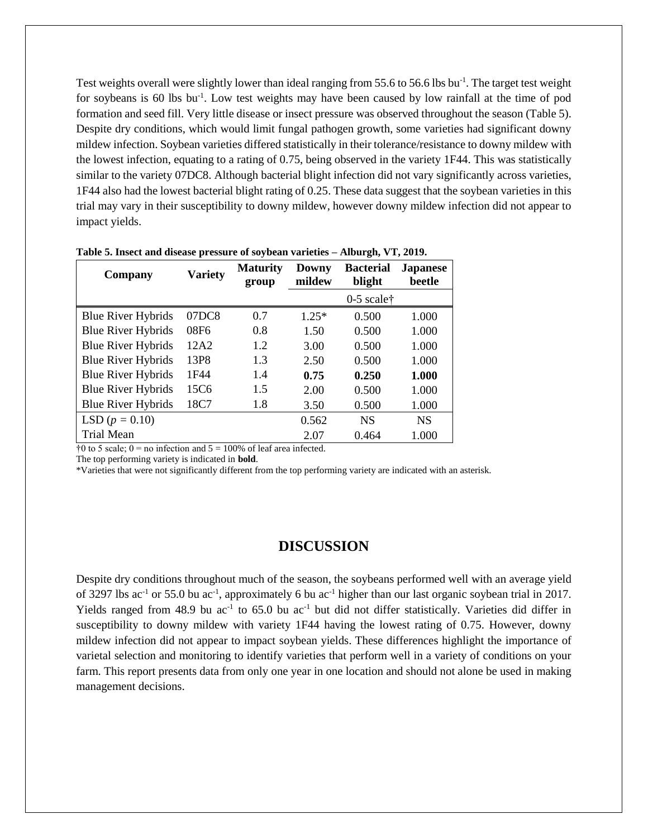Test weights overall were slightly lower than ideal ranging from 55.6 to 56.6 lbs bu<sup>-1</sup>. The target test weight for soybeans is 60 lbs bu<sup>-1</sup>. Low test weights may have been caused by low rainfall at the time of pod formation and seed fill. Very little disease or insect pressure was observed throughout the season (Table 5). Despite dry conditions, which would limit fungal pathogen growth, some varieties had significant downy mildew infection. Soybean varieties differed statistically in their tolerance/resistance to downy mildew with the lowest infection, equating to a rating of 0.75, being observed in the variety 1F44. This was statistically similar to the variety 07DC8. Although bacterial blight infection did not vary significantly across varieties, 1F44 also had the lowest bacterial blight rating of 0.25. These data suggest that the soybean varieties in this trial may vary in their susceptibility to downy mildew, however downy mildew infection did not appear to impact yields.

| Company                   | <b>Variety</b> | <b>Maturity</b><br>group | Downy<br>mildew | <b>Bacterial</b><br>blight | <b>Japanese</b><br>beetle |
|---------------------------|----------------|--------------------------|-----------------|----------------------------|---------------------------|
|                           |                |                          |                 | $0-5$ scale <sup>†</sup>   |                           |
| <b>Blue River Hybrids</b> | 07DC8          | 0.7                      | $1.25*$         | 0.500                      | 1.000                     |
| <b>Blue River Hybrids</b> | 08F6           | 0.8                      | 1.50            | 0.500                      | 1.000                     |
| <b>Blue River Hybrids</b> | 12A2           | 1.2                      | 3.00            | 0.500                      | 1.000                     |
| <b>Blue River Hybrids</b> | 13P8           | 1.3                      | 2.50            | 0.500                      | 1.000                     |
| <b>Blue River Hybrids</b> | 1F44           | 1.4                      | 0.75            | 0.250                      | 1.000                     |
| <b>Blue River Hybrids</b> | 15C6           | 1.5                      | 2.00            | 0.500                      | 1.000                     |
| <b>Blue River Hybrids</b> | 18C7           | 1.8                      | 3.50            | 0.500                      | 1.000                     |
| LSD $(p = 0.10)$          |                |                          | 0.562           | <b>NS</b>                  | <b>NS</b>                 |
| Trial Mean                |                |                          | 2.07            | 0.464                      | 1.000                     |

|  |  |  |  | Table 5. Insect and disease pressure of soybean varieties - Alburgh, VT, 2019. |  |
|--|--|--|--|--------------------------------------------------------------------------------|--|
|  |  |  |  |                                                                                |  |

 $\dagger 0$  to 5 scale;  $0 =$  no infection and  $5 = 100\%$  of leaf area infected.

The top performing variety is indicated in **bold**.

\*Varieties that were not significantly different from the top performing variety are indicated with an asterisk.

## **DISCUSSION**

Despite dry conditions throughout much of the season, the soybeans performed well with an average yield of 3297 lbs ac<sup>-1</sup> or 55.0 bu ac<sup>-1</sup>, approximately 6 bu ac<sup>-1</sup> higher than our last organic soybean trial in 2017. Yields ranged from 48.9 bu ac<sup>-1</sup> to 65.0 bu ac<sup>-1</sup> but did not differ statistically. Varieties did differ in susceptibility to downy mildew with variety 1F44 having the lowest rating of 0.75. However, downy mildew infection did not appear to impact soybean yields. These differences highlight the importance of varietal selection and monitoring to identify varieties that perform well in a variety of conditions on your farm. This report presents data from only one year in one location and should not alone be used in making management decisions.